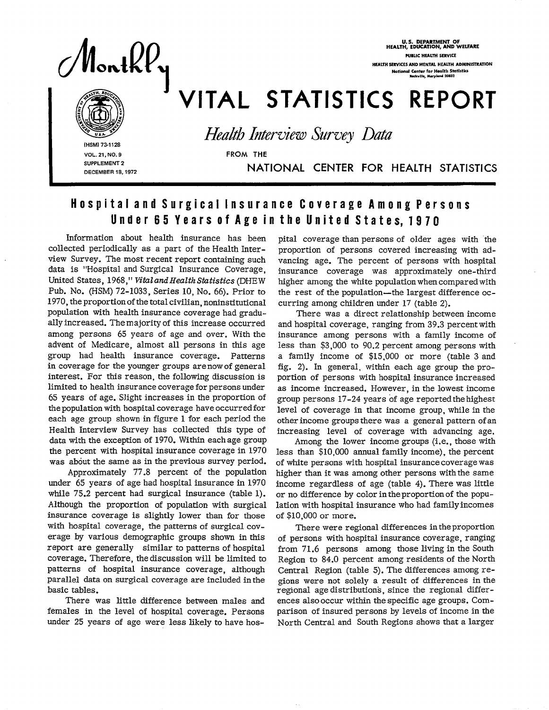

U.S. DEPARTMENT OF<br>HEALTH, EDUCATION, AND WELFARE **PUBLIC HEALTH SERVICE** HEALTH SERVICES AND MENTAL HEALTH ADMINISTRATION National Center for Health Statistics<br>Reckville, Merylend 20852

# VITAL STATISTICS REPORT

Health Interview Survey Data

(HSM) 73-1128 VOL. 21, NO. 9 SUPPLEMENT 2 DECEMBER 18, 1972

NATIONAL CENTER FOR HEALTH STATISTICS

### Hospital and Surgical Insurance Coverage Among Persons Under 65 Years of Age in the United States, 1970

**FROM THE** 

Information about health insurance has been collected periodically as a part of the Health Interview Survey. The most recent report containing such data is "Hospital and Surgical Insurance Coverage, United States, 1968," Vital and Health Statistics (DHEW Pub. No. (HSM) 72-1033, Series 10, No. 66). Prior to 1970, the proportion of the total civilian, noninstitutional population with health insurance coverage had gradually increased. The majority of this increase occurred among persons 65 years of age and over. With the advent of Medicare, almost all persons in this age group had health insurance coverage. Patterns in coverage for the younger groups are now of general interest. For this reason, the following discussion is limited to health insurance coverage for persons under 65 years of age. Slight increases in the proportion of the population with hospital coverage have occurred for each age group shown in figure 1 for each period the Health Interview Survey has collected this type of data with the exception of 1970. Within each age group the percent with hospital insurance coverage in 1970 was about the same as in the previous survey period.

Approximately 77.8 percent of the population under 65 years of age had hospital insurance in 1970 while 75.2 percent had surgical insurance (table 1). Although the proportion of population with surgical insurance coverage is slightly lower than for those with hospital coverage, the patterns of surgical coverage by various demographic groups shown in this report are generally similar to patterns of hospital coverage. Therefore, the discussion will be limited to patterns of hospital insurance coverage, although parallel data on surgical coverage are included in the basic tables.

There was little difference between males and females in the level of hospital coverage. Persons under 25 years of age were less likely to have hospital coverage than persons of older ages with the proportion of persons covered increasing with advancing age. The percent of persons with hospital insurance coverage was approximately one-third higher among the white population when compared with the rest of the population—the largest difference occurring among children under 17 (table 2).

There was a direct relationship between income and hospital coverage, ranging from 39.3 percent with insurance among persons with a family income of less than \$3,000 to 90.2 percent among persons with a family income of \$15,000 or more (table 3 and fig. 2). In general, within each age group the proportion of persons with hospital insurance increased as income increased. However, in the lowest income group persons 17-24 years of age reported the highest level of coverage in that income group, while in the other income groups there was a general pattern of an increasing level of coverage with advancing age.

Among the lower income groups (i.e., those with less than \$10,000 annual family income), the percent of white persons with hospital insurance coverage was higher than it was among other persons with the same income regardless of age (table 4). There was little or no difference by color in the proportion of the population with hospital insurance who had family incomes of \$10,000 or more.

There were regional differences in the proportion of persons with hospital insurance coverage, ranging from 71.6 persons among those living in the South Region to 84.0 percent among residents of the North Central Region (table 5). The differences among regions were not solely a result of differences in the regional age distributions, since the regional differences also occur within the specific age groups. Comparison of insured persons by levels of income in the North Central and South Regions shows that a larger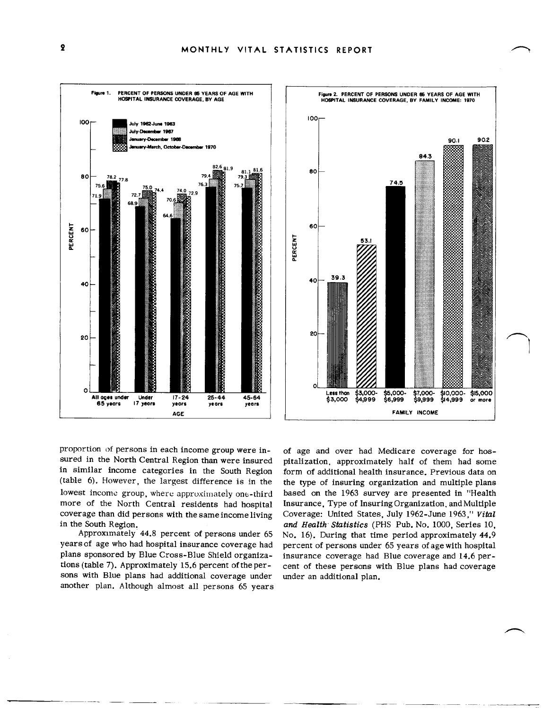



proportion of persons in each income group were insured in the North Central Region than were insured in similar income categories in the South Region (table 6). However, the largest difference is in the lowest income group, where approximately one-third more of the North Central residents had hospital coverage than did persons with the same income living in the South Region.

Approximately 44.8 percent of persons under 65 years of age who had hospital insurance coverage had plans sponsored by Blue Cross-Blue Shield organizations (table 7). Approximately 15.6 percent of the persons with Blue plans had additional coverage under another plan. Although almost all persons 65 years

of age and over had Medicare coverage for hospitalization, approximately half of them had some form of additional health insurance. Previous data on the type of insuring organization and multiple plans based on the 1963 survey are presented in "Health Insurance, Type of Insuring Organization, and Multiple Coverage: United States, July 1962-June 1963," Vital and Health Statistics (PHS Pub. No. 1000, Series 10, No. 16). During that time period approximately 44.9 percent of persons under 65 years of age with hospital insurance coverage had Blue coverage and 14.6 percent of these persons with Blue plans had coverage under an additional plan.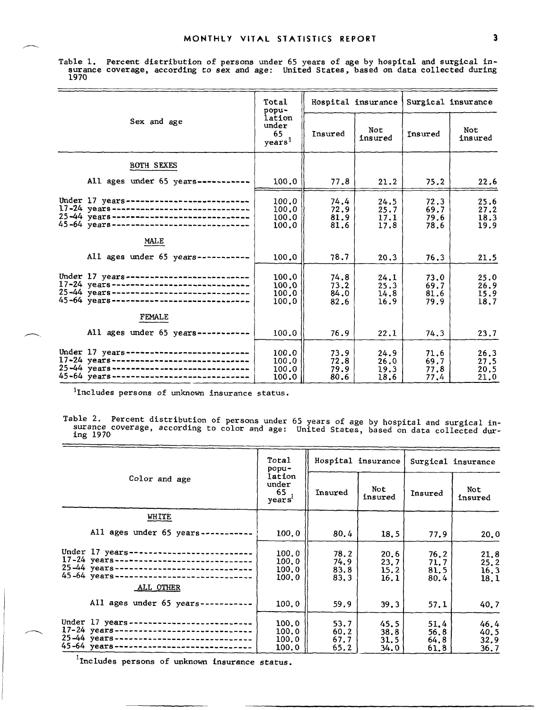Table 1. Percent distribution of persons under 65 years of age by hospital and surgical in surance coverage, according to sex and age: United States, based on data collected during 1970

|                                                                                                                                                                                     | Total<br>popu-                              | Hospital insurance           |                              | Surgical insurance           |                              |
|-------------------------------------------------------------------------------------------------------------------------------------------------------------------------------------|---------------------------------------------|------------------------------|------------------------------|------------------------------|------------------------------|
| Sex and age                                                                                                                                                                         | lation<br>under<br>65<br>years <sup>1</sup> | Insured                      | Not<br>insured               | Insured                      | Not<br>insured               |
| <b>BOTH SEXES</b>                                                                                                                                                                   |                                             |                              |                              |                              |                              |
| All ages under $65$ years-----------                                                                                                                                                | 100.0                                       | 77.8                         | 21.2                         | 75.2                         | 22.6                         |
| Under 17 years---------------------------<br>$17-24$ years------------------------------<br>25-44 years------------------------------<br>45-64 years------------------------------  | 100.0<br>100.0<br>100.0<br>100.0            | 74.4<br>72.9<br>81.9<br>81.6 | 24.5<br>25.7<br>17.1<br>17.8 | 72.3<br>69.7<br>79.6<br>78.6 | 25.6<br>27.2<br>18.3<br>19.9 |
| MALE                                                                                                                                                                                |                                             |                              |                              |                              |                              |
| All ages under $65$ years----------                                                                                                                                                 | 100.0                                       | 78.7                         | 20.3                         | 76.3                         | 21.5                         |
| Under 17 years ----------------------------<br>17-24 years------------------------------<br>25-44 years-------------------------------<br>45-64 years------------------------------ | 100.0<br>100.0<br>100.0<br>100.0            | 74.8<br>73.2<br>84.0<br>82.6 | 24.1<br>25.3<br>14.8<br>16.9 | 73.0<br>69.7<br>81.6<br>79.9 | 25.0<br>26.9<br>15.9<br>18.7 |
| FEMALE                                                                                                                                                                              |                                             |                              |                              |                              |                              |
| All ages under $65$ years-----------                                                                                                                                                | 100.0                                       | 76.9                         | 22.1                         | 74.3                         | 23.7                         |
| Under 17 years---------------------------<br>17-24 years------------------------------<br>25-44 years-----------------------------<br>45-64 years-------------------------------    | 100.0<br>100.0<br>100.0<br>100.0            | 73.9<br>72.8<br>79.9<br>80.6 | 24.9<br>26.0<br>19.3<br>18.6 | 71.6<br>69.7<br>77.8<br>77.4 | 26.3<br>27.5<br>20.5<br>21.0 |

<sup>1</sup>Includes persons of unknown insurance status.

/----

Table 2. Percent distribution of persons under 65 years of age by hospital and surgical in surance coverage, according to color and sge: United States, based on data collected dur ing 1970

|                                                                                                                                                                                               | Total<br>popu-                              |                              | Hospital insurance           | Surgical insurance           |                               |
|-----------------------------------------------------------------------------------------------------------------------------------------------------------------------------------------------|---------------------------------------------|------------------------------|------------------------------|------------------------------|-------------------------------|
| Color and age                                                                                                                                                                                 | lation<br>under<br>65<br>years <sup>1</sup> | Insured                      | Not.<br>insured              | Insured                      | Not<br>insured                |
| WHITE                                                                                                                                                                                         |                                             |                              |                              |                              |                               |
| All ages under 65 years--                                                                                                                                                                     | 100.0                                       | 80.4                         | 18.5                         | 77.9                         | 20.0                          |
| Under 17 years ---------------------------<br>17-24 years ------------------------------<br>25-44 years-----------------------------<br>45-64 years-----------------------------<br>ALL OTHER | 100.0<br>100.0<br>100.0<br>100.0            | 78.2<br>74.9<br>83.8<br>83.3 | 20.6<br>23.7<br>15.2<br>16.1 | 76.2<br>71.7<br>81.5<br>80.4 | 21.8<br>25, 2<br>16.3<br>18.1 |
| All ages under 65 years-----------                                                                                                                                                            | 100.0                                       | 59.9                         | 39.3                         | 57.1                         | 40.7                          |
| Under 17 years --------------------------<br>17-24 years------------------------------<br>25-44 years ------------------------------<br>45-64 years-----------------------------              | 100.0<br>100.0<br>100.0<br>100, 0           | 53.7<br>60.2<br>67.7<br>65.2 | 45.5<br>38.8<br>31.5<br>34.0 | 51.4<br>56.8<br>64.8<br>61.8 | 46.4<br>40.5<br>32.9<br>36.7  |

**1** Includes persons of unknown insurance status.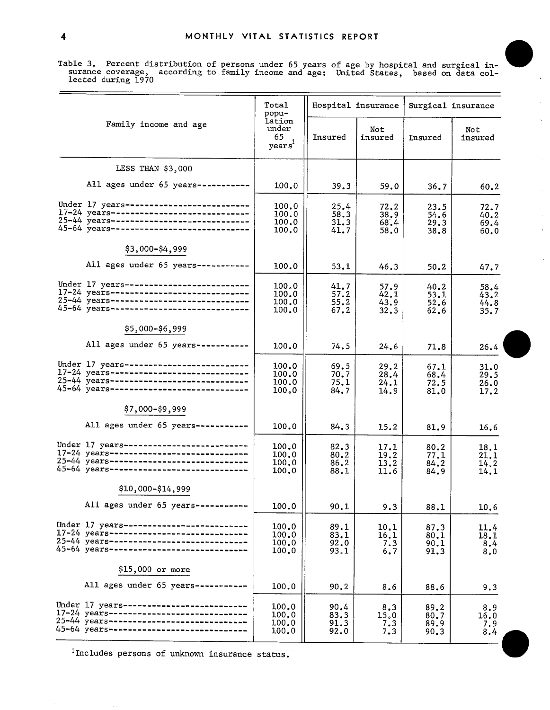MONTHLY VITAL STATISTICS REPORT<br>Table 3. Percent distribution of persons under 65 years of age by hospital and surgical in-<br>surance coverage, according to family income and age: United States, based on data collected during 1970

 $\hat{\boldsymbol{\gamma}}$ 

 $\bar{\mathbf{z}}$ 

L.

|                                                                                                                                                                                  | Total<br>popu-                   |                              | Hospital insurance           |                              | Surgical insurance           |
|----------------------------------------------------------------------------------------------------------------------------------------------------------------------------------|----------------------------------|------------------------------|------------------------------|------------------------------|------------------------------|
| Family income and age                                                                                                                                                            | lation<br>under<br>65<br>years   | Insured                      | Not<br>insured               | Insured                      | Not<br>insured               |
| LESS THAN \$3,000                                                                                                                                                                |                                  |                              |                              |                              |                              |
| All ages under 65 years-----------                                                                                                                                               | 100.0                            | 39.3                         | 59.0                         | 36.7                         | 60.2                         |
| Under 17 years--------------------------<br>17-24 years------------------------------<br>25-44 years------------------------------<br>45-64 years----------------------------    | 100.0<br>100.0<br>100.0<br>100.0 | 25.4<br>58.3<br>31.3<br>41.7 | 72.2<br>38.9<br>68.4<br>58,0 | 23.5<br>54.6<br>29.3<br>38.8 | 72.7<br>40.2<br>69.4<br>60.0 |
| \$3,000-\$4,999                                                                                                                                                                  |                                  |                              |                              |                              |                              |
| All ages under 65 years -----------                                                                                                                                              | 100.0                            | 53.1                         | 46.3                         | 50.2                         | 47.7                         |
| Under 17 years ---------------------------<br>17-24 years------------------------------<br>25-44 years------------------------------<br>45-64 years----------------------------- | 100.0<br>100.0<br>100.0<br>100.0 | 41.7<br>57.2<br>55.2<br>67.2 | 57.9<br>42.1<br>43.9<br>32.3 | 40.2<br>53.1<br>52.6<br>62.6 | 58.4<br>43.2<br>44.8<br>35.7 |
| \$5,000-\$6,999                                                                                                                                                                  |                                  |                              |                              |                              |                              |
| All ages under 65 years -----------                                                                                                                                              | 100.0                            | 74.5                         | 24.6                         | 71.8                         | 26.4                         |
| Under 17 years---------------------------<br>17-24 years-----------------------------<br>25-44 years-----------------------------<br>45-64 years-----------------------------    | 100.0<br>100.0<br>100.0<br>100.0 | 69.5<br>70.7<br>75.1<br>84.7 | 29.2<br>28.4<br>24.1<br>14.9 | 67.1<br>68.4<br>72.5<br>81.0 | 31.0<br>29.5<br>26.0<br>17.2 |
| \$7,000-\$9,999                                                                                                                                                                  |                                  |                              |                              |                              |                              |
| All ages under 65 years-----------                                                                                                                                               | 100.0                            | 84.3                         | 15.2                         | 81.9                         | 16.6                         |
| Under 17 years-------------------------<br>17-24 years------------------------------<br>25-44 years------------------------------<br>45-64 years -----------------------------   | 100.0<br>100.0<br>100.0<br>100.0 | 82.3<br>80.2<br>86.2<br>88.1 | 17.1<br>19.2<br>13.2<br>11.6 | 80.2<br>77.1<br>84.2<br>84.9 | 18.1<br>21.1<br>14.2<br>14.1 |
| \$10,000-\$14,999                                                                                                                                                                |                                  |                              |                              |                              |                              |
| All ages under 65 years -----------                                                                                                                                              | 100.0                            | 90.1                         | 9.3                          | 88.1                         | 10.6                         |
| Under 17 years--------------------------<br>17-24 years------------------------------<br>25-44 years-----------------------------<br>45-64 years------------------------------   | 100.0<br>100.0<br>100.0<br>100.0 | 89.1<br>83.1<br>92.0<br>93.1 | 10.1<br>16.1<br>7.3<br>6.7   | 87.3<br>80.1<br>90.1<br>91.3 | 11.4<br>18.1<br>8.4<br>8.0   |
| \$15,000 or more                                                                                                                                                                 |                                  |                              |                              |                              |                              |
| All ages under 65 years-----------                                                                                                                                               | 100.0                            | 90.2                         | 8.6                          | 88.6                         | 9.3                          |
| Under 17 years---------------------------<br>17-24 years------------------------------<br>25-44 years-----------------------------<br>45-64 years-----------------------------   | 100.0<br>100.0<br>100.0<br>100.0 | 90.4<br>83.3<br>91.3<br>92.0 | 8.3<br>15.0<br>7.3<br>7.3    | 89.2<br>80.7<br>89.9<br>90.3 | 8.9<br>16.0<br>7.9<br>8.4    |

 $1$ Includes persons of unknown insurance status.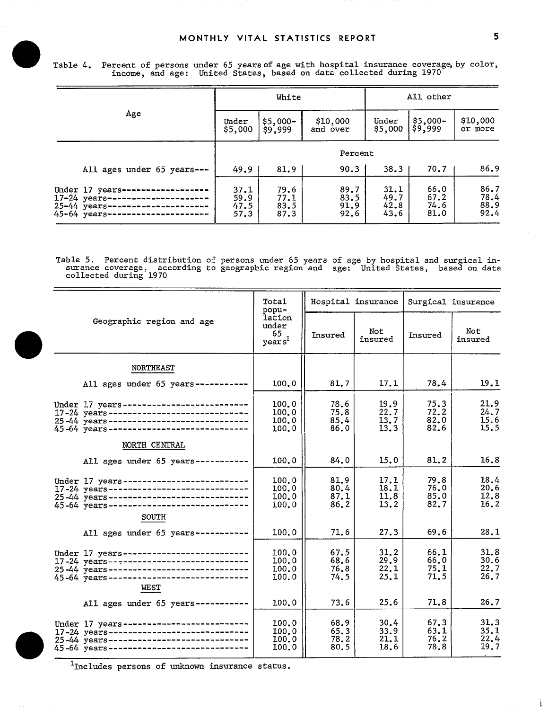MONTHLY VITAL STATISTICS REPORT<br>Table 4. Percent of persons under 65 years of age with hospital insurance coverage, by color, income, and age: United States, based on data collected during 1970

|                                                                                                           | White                        |                              |                              |                              | All other                    |                              |  |
|-----------------------------------------------------------------------------------------------------------|------------------------------|------------------------------|------------------------------|------------------------------|------------------------------|------------------------------|--|
| Age                                                                                                       | Under<br>\$5,000             | $$5,000-$<br>\$9,999         | \$10,000<br>and over         | Under<br>\$5,000             | \$5,000-<br>\$9,999          | \$10,000<br>or more          |  |
|                                                                                                           | Percent                      |                              |                              |                              |                              |                              |  |
| All ages under 65 years ---                                                                               | 49.9                         | 81.9                         | 90.3                         | 38.3                         | 70.7                         | 86.9                         |  |
| Under 17 years-<br>17-24 years---------------------<br>25-44 years---------------------<br>45-64 years -- | 37.1<br>59.9<br>47.5<br>57.3 | 79.6<br>77.1<br>83.5<br>87.3 | 89.7<br>83.5<br>91.9<br>92.6 | 31.1<br>49.7<br>42.8<br>43.6 | 66.0<br>67.2<br>74.6<br>81.0 | 86.7<br>78.4<br>88.9<br>92.4 |  |

Table 5. Percent distribution of persons under 65 years of age by hospital and surgical in surance coverage, according to geographic region and age: United States, based on data collected during 1970

|                                                                                                                                                                                           | Total<br>popu-                              |                              | Hospital insurance           | Surgical insurance           |                              |  |
|-------------------------------------------------------------------------------------------------------------------------------------------------------------------------------------------|---------------------------------------------|------------------------------|------------------------------|------------------------------|------------------------------|--|
| Geographic region and age                                                                                                                                                                 | lation<br>under<br>65<br>years <sup>1</sup> | Insured                      | Not<br>insured               | Insured                      | Not<br>insured               |  |
| <b>NORTHEAST</b>                                                                                                                                                                          |                                             |                              |                              |                              |                              |  |
| All ages under $65$ years----------                                                                                                                                                       | 100.0                                       | 81.7                         | 17.1                         | 78.4                         | 19.1                         |  |
| Under 17 years---------------------------<br>17-24 years------------------------------<br>25-44 years------------------------------<br>45-64 years------------------------------          | 100.0<br>100.0<br>100.0<br>100.0            | 78.6<br>75.8<br>85.4<br>86.0 | 19.9<br>22.7<br>13.7<br>13.3 | 75.3<br>72.2<br>82.0<br>82.6 | 21.9<br>24.7<br>15.6<br>15.5 |  |
| NORTH CENTRAL                                                                                                                                                                             |                                             |                              |                              |                              |                              |  |
| All ages under 65 years -----------                                                                                                                                                       | 100.0                                       | 84.0                         | 15.0                         | 81.2                         | 16.8                         |  |
| Under 17 years--------------------------<br>17-24 years------------------------------<br>25-44 years ------------------------------<br>45-64 years -----------------------------<br>SOUTH | 100.0<br>100.0<br>100.0<br>100.0            | 81.9<br>80,4<br>87.1<br>86.2 | 17.1<br>18.1<br>11.8<br>13.2 | 79.8<br>76.0<br>85.0<br>82.7 | 18.4<br>20.6<br>12.8<br>16.2 |  |
| All ages under 65 years-----------                                                                                                                                                        | 100, 0                                      | 71.6                         | 27.3                         | 69.6                         | 28.1                         |  |
| Under 17 years-------------------------<br>17-24 years------------------------------<br>25-44 years -----------------------------<br>45-64 years-----------------------------<br>WEST     | 100.0<br>100.0<br>100.0<br>100.0            | 67.5<br>68.6<br>76.8<br>74.5 | 31.2<br>29.9<br>22.1<br>25.1 | 66.1<br>66.0<br>75.1<br>71.5 | 31.8<br>30.6<br>22.7<br>26.7 |  |
| All ages under 65 years -----------                                                                                                                                                       | 100.0                                       | 73.6                         | 25.6                         | 71.8                         | 26.7                         |  |
| Under 17 years---------------------------<br>17-24 years-----------------------------<br>25-44 years-----------------------------<br>45-64 years------------------------------            | 100.0<br>100.0<br>100.0<br>100.0            | 68.9<br>65.3<br>78.2<br>80.5 | 30.4<br>33.9<br>21.1<br>18.6 | 67.3<br>63.1<br>76.2<br>78.8 | 31.3<br>35.1<br>22.4<br>19.7 |  |

 $\frac{1}{\pi}$ Includes persons of unknown insurance status.

į.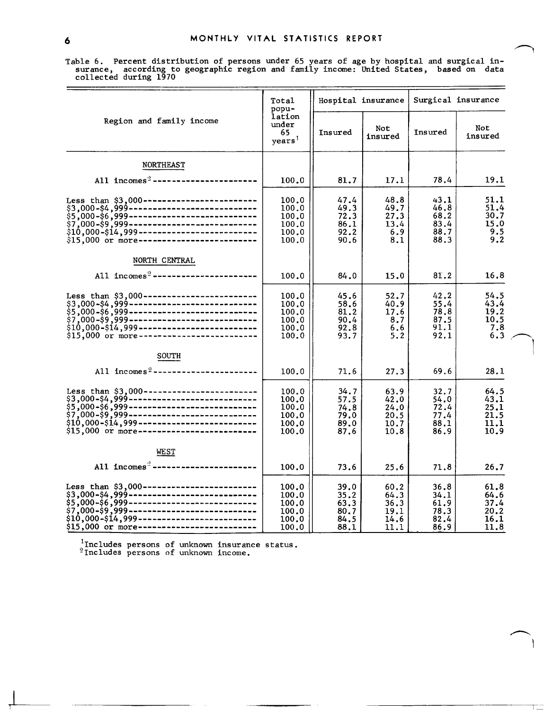Table 6. Percent distribution of persons under 65 years of age by hospital and surgical in- surance, according to geographic region and family income: United States, based on data collected during 1970

|                                                  | Total<br>popu-                                     |                                              | Hospital insurance                           | Surgical insurance                           |                                              |  |
|--------------------------------------------------|----------------------------------------------------|----------------------------------------------|----------------------------------------------|----------------------------------------------|----------------------------------------------|--|
| Region and family income                         | lation<br>under<br>65<br>years <sup>1</sup>        | Insured                                      | Not<br>insured                               | Insured                                      | Not<br>insured                               |  |
| <b>NORTHEAST</b>                                 |                                                    |                                              |                                              |                                              |                                              |  |
| All incomes <sup>2</sup> ----------------------- | 100.0                                              | 81.7                                         | 17.1                                         | 78.4                                         | 19.1                                         |  |
| \$15,000 or more-------------------------        | 100.0<br>100.0<br>100.0<br>100.0<br>100.0<br>100.0 | 47.4<br>49.3<br>72.3<br>86.1<br>92.2<br>90.6 | 48.8<br>49.7<br>27.3<br>13.4<br>6.9<br>8.1   | 43.1<br>46.8<br>68.2<br>83.4<br>88.7<br>88.3 | 51.1<br>51.4<br>30.7<br>15.0<br>9.5<br>9.2   |  |
| NORTH CENTRAL                                    |                                                    |                                              |                                              |                                              |                                              |  |
| All $incomes2$ ------------------------          | 100.0                                              | 84.0                                         | 15.0                                         | 81.2                                         | 16.8                                         |  |
| \$15,000 or more-------------------------        | 100.0<br>100.0<br>100.0<br>100.0<br>100.0<br>100.0 | 45.6<br>58.6<br>81.2<br>90.4<br>92.8<br>93.7 | 52.7<br>40.9<br>17.6<br>8.7<br>6.6<br>5.2    | 42.2<br>55.4<br>78.8<br>87.5<br>91.1<br>92.1 | 54.5<br>43.4<br>19.2<br>10.5<br>7.8<br>6.3   |  |
| <b>SOUTH</b>                                     |                                                    |                                              |                                              |                                              |                                              |  |
| All incomes <sup>2</sup> ----------------------- | 100.0                                              | 71.6                                         | 27.3                                         | 69.6                                         | 28.1                                         |  |
| $$15,000$ or more----------------------------    | 100.0<br>100.0<br>100.0<br>100.0<br>100.0<br>100.0 | 34.7<br>57.5<br>74.8<br>79.0<br>89.0<br>87.6 | 63.9<br>42.0<br>24.0<br>20.5<br>10.7<br>10.8 | 32.7<br>54.0<br>72.4<br>77.4<br>88.1<br>86.9 | 64.5<br>43.1<br>25.1<br>21.5<br>11.1<br>10.9 |  |
| WEST                                             |                                                    |                                              |                                              |                                              |                                              |  |
| All $incomes2$ -----------------------           | 100.0                                              | 73.6                                         | 25.6                                         | 71.8                                         | 26.7                                         |  |
| \$15,000 or more----------------------           | 100.0<br>100.0<br>100.0<br>100.0<br>100.0<br>100.0 | 39.0<br>35.2<br>63.3<br>80.7<br>84.5<br>88.1 | 60.2<br>64.3<br>36.3<br>19.1<br>14.6<br>11.1 | 36.8<br>34.1<br>61.9<br>78.3<br>82.4<br>86.9 | 61.8<br>64.6<br>37.4<br>20.2<br>16.1<br>11.8 |  |

I

1 The Company of the Company of the Company of the Company of the Company of the Company of the Company of the Company of the Company of the Company of the Company of the Company of the Company of the Company of the Compan

 $^{1}$ Includes persons of unknown insurance status.  $^2$ Includes persons of unknown income.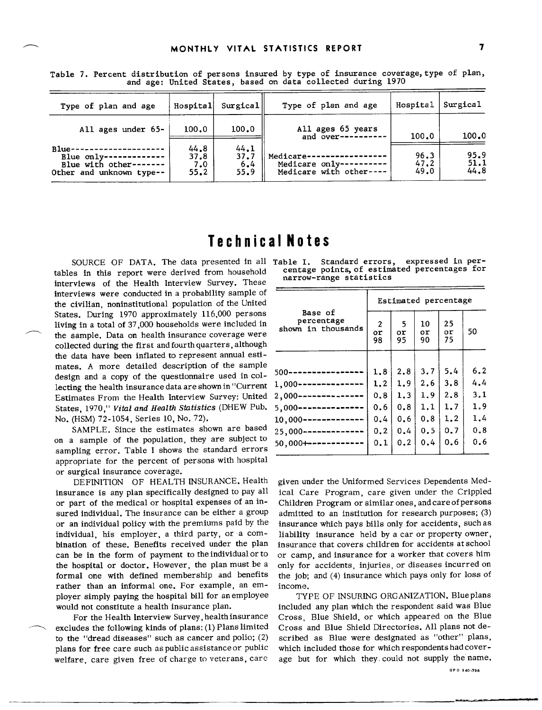| Type of plan and age                                                                       | Hospital                    | Surgical                    | Type of plan and age                                                    | Hospital             | Surgical             |
|--------------------------------------------------------------------------------------------|-----------------------------|-----------------------------|-------------------------------------------------------------------------|----------------------|----------------------|
| All ages under 65-                                                                         | 100.0                       | 100.0                       | All ages 65 years<br>and over----------                                 | 100.0                | 100.0                |
| $Blue-$<br>Blue $only$ -------------<br>Blue with other-------<br>Other and unknown type-- | 44.8<br>37.8<br>7.0<br>55.2 | 44.1<br>37.7<br>6,4<br>55.9 | Medicare---------<br>Medicare only----------<br>Medicare with other---- | 96.3<br>47.2<br>49.0 | 95.9<br>51.1<br>44.8 |

Table 7. Percent distribution of persons insured by type of insurance coverage, type of plan, and age: United States, based on data collected during 1970

### **Technical Notes**

SOURCE OF DATA. The data presented in all Table I. Standard errors, tables in this report were derived from household interviews of the Health Interview Survey. These interviews were conducted in a probability sample of the civilian, noninstitutional population of the United States. During 1970 approximately 116,000 persons living in a total of 37,000 households were included in the sample. Data on health insurance coverage were collected during the first and fourth quarters, although the data have been inflated to represent annual estimates. A more detailed description of the sample design and a copy of the questionnaire used in collecting the health insurance data are shown in "Current Estimates From the Health Interview Survey: United States, 1970," Vital and Health Statistics (DHEW Pub. No. (HSM) 72-1054, Series 10, No. 72).

SAMPLE. Since the estimates shown are based on a sample of the population, they are subject to sampling error. Table I shows the standard errors appropriate for the percent of persons with hospital or surgical insurance coverage.

DEFINITION OF HEALTH INSURANCE. Health insurance is any plan specifically designed to pay all or part of the medical or hospital expenses of an insured individual. The insurance can be either a group or an individual policy with the premiums paid by the individual, his employer, a third party, or a combination of these. Benefits received under the plan can be in the form of payment to the individual or to the hospital or doctor. However, the plan must be a formal one with defined membership and benefits rather than an informal one. For example, an employer simply paying the hospital bill for an employee would not constitute a health insurance plan.

For the Health Interview Survey, health insurance excludes the following kinds of plans: (1) Plans limited to the "dread diseases" such as cancer and polio;  $(2)$ plans for free care such as public assistance or public welfare, care given free of charge to veterans, care

expressed in percentage points, of estimated percentages for narrow-range statistics

| $\overline{c}$<br>or<br>98 | -5<br>or<br>95 | 10<br>or<br>90 | 25<br>or<br>75 | 50                   |  |  |  |
|----------------------------|----------------|----------------|----------------|----------------------|--|--|--|
|                            |                |                |                |                      |  |  |  |
| 1.8                        | 2.8            | 3.7            | 5.4            | 6.2                  |  |  |  |
| 1.2                        | 1.9            | 2.6            | 3.8            | 4.4                  |  |  |  |
| 0.8                        | 1.3            | 1.9            | 2.8            | 3.1                  |  |  |  |
| 0.6                        | 0.8            | 1.1            | 1.7            | 1.9                  |  |  |  |
| 0.4                        | 0.6            | 0.8            | 1.2            | 1.4                  |  |  |  |
| 0.2                        | 0.4            | 0.5            | 0.7            | 0.8                  |  |  |  |
| 0.1                        | 0.2            | 0.4            | 0.6            | 0.6                  |  |  |  |
|                            |                |                |                | Estimated percentage |  |  |  |

given under the Uniformed Services Dependents Medical Care Program, care given under the Crippled Children Program or similar ones, and care of persons admitted to an institution for research purposes; (3) insurance which pays bills only for accidents, such as liability insurance held by a car or property owner, insurance that covers children for accidents at school or camp, and insurance for a worker that covers him only for accidents, injuries, or diseases incurred on the job; and (4) insurance which pays only for loss of income.

TYPE OF INSURING ORGANIZATION. Blue plans included any plan which the respondent said was Blue Cross, Blue Shield, or which appeared on the Blue Cross and Blue Shield Directories. All plans not described as Blue were designated as "other" plans, which included those for which respondents had coverage but for which they could not supply the name.